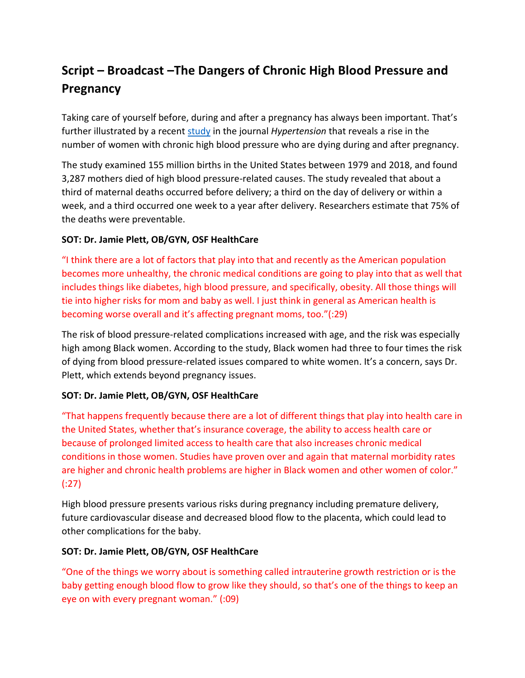# **Script – Broadcast –The Dangers of Chronic High Blood Pressure and Pregnancy**

Taking care of yourself before, during and after a pregnancy has always been important. That's further illustrated by a recen[t study](https://www.ahajournals.org/doi/10.1161/HYPERTENSIONAHA.121.17661) in the journal *Hypertension* that reveals a rise in the number of women with chronic high blood pressure who are dying during and after pregnancy.

The study examined 155 million births in the United States between 1979 and 2018, and found 3,287 mothers died of high blood pressure-related causes. The study revealed that about a third of maternal deaths occurred before delivery; a third on the day of delivery or within a week, and a third occurred one week to a year after delivery. Researchers estimate that 75% of the deaths were preventable.

### **SOT: Dr. Jamie Plett, OB/GYN, OSF HealthCare**

"I think there are a lot of factors that play into that and recently as the American population becomes more unhealthy, the chronic medical conditions are going to play into that as well that includes things like diabetes, high blood pressure, and specifically, obesity. All those things will tie into higher risks for mom and baby as well. I just think in general as American health is becoming worse overall and it's affecting pregnant moms, too."(:29)

The risk of blood pressure-related complications increased with age, and the risk was especially high among Black women. According to the study, Black women had three to four times the risk of dying from blood pressure-related issues compared to white women. It's a concern, says Dr. Plett, which extends beyond pregnancy issues.

## **SOT: Dr. Jamie Plett, OB/GYN, OSF HealthCare**

"That happens frequently because there are a lot of different things that play into health care in the United States, whether that's insurance coverage, the ability to access health care or because of prolonged limited access to health care that also increases chronic medical conditions in those women. Studies have proven over and again that maternal morbidity rates are higher and chronic health problems are higher in Black women and other women of color." (:27)

High blood pressure presents various risks during pregnancy including premature delivery, future cardiovascular disease and decreased blood flow to the placenta, which could lead to other complications for the baby.

#### **SOT: Dr. Jamie Plett, OB/GYN, OSF HealthCare**

"One of the things we worry about is something called intrauterine growth restriction or is the baby getting enough blood flow to grow like they should, so that's one of the things to keep an eye on with every pregnant woman." (:09)